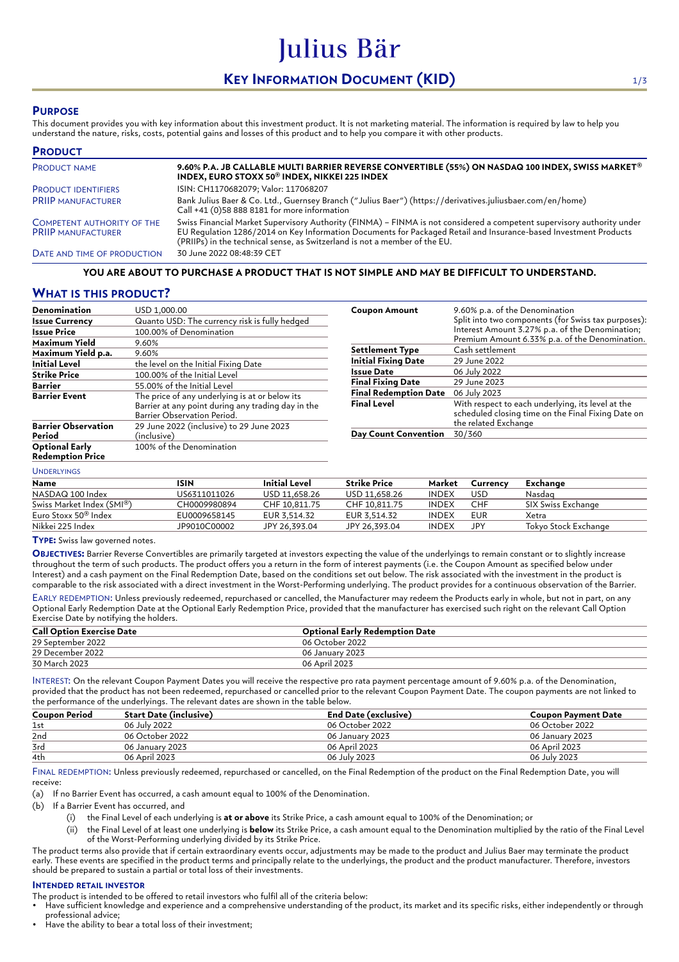# **KEY INFORMATION DOCUMENT (KID)** 1/3

Julius Bär

### **PURPOSE**

This document provides you with key information about this investment product. It is not marketing material. The information is required by law to help you understand the nature, risks, costs, potential gains and losses of this product and to help you compare it with other products.

| <b>PRODUCT</b>                                                 |                                                                                                                                                                                                                                                                                                                          |
|----------------------------------------------------------------|--------------------------------------------------------------------------------------------------------------------------------------------------------------------------------------------------------------------------------------------------------------------------------------------------------------------------|
| <b>PRODUCT NAME</b>                                            | 9.60% P.A. JB CALLABLE MULTI BARRIER REVERSE CONVERTIBLE (55%) ON NASDAQ 100 INDEX, SWISS MARKET®<br>INDEX, EURO STOXX 50 <sup>®</sup> INDEX, NIKKEI 225 INDEX                                                                                                                                                           |
| <b>PRODUCT IDENTIFIERS</b>                                     | ISIN: CH1170682079; Valor: 117068207                                                                                                                                                                                                                                                                                     |
| <b>PRIIP MANUFACTURER</b>                                      | Bank Julius Baer & Co. Ltd., Guernsey Branch ("Julius Baer") (https://derivatives.juliusbaer.com/en/home)<br>Call +41 (0)58 888 8181 for more information                                                                                                                                                                |
| <b>COMPETENT AUTHORITY OF THE</b><br><b>PRIIP MANUFACTURER</b> | Swiss Financial Market Supervisory Authority (FINMA) - FINMA is not considered a competent supervisory authority under<br>EU Requlation 1286/2014 on Key Information Documents for Packaged Retail and Insurance-based Investment Products<br>(PRIIPs) in the technical sense, as Switzerland is not a member of the EU. |
| DATE AND TIME OF PRODUCTION                                    | 30 June 2022 08:48:39 CET                                                                                                                                                                                                                                                                                                |

#### **YOU ARE ABOUT TO PURCHASE A PRODUCT THAT IS NOT SIMPLE AND MAY BE DIFFICULT TO UNDERSTAND.**

### **WHAT IS THIS PRODUCT?**

| Denomination                                     | USD 1,000.00                                                                                                                        |
|--------------------------------------------------|-------------------------------------------------------------------------------------------------------------------------------------|
| <b>Issue Currency</b>                            | Quanto USD: The currency risk is fully hedged                                                                                       |
| <b>Issue Price</b>                               | 100.00% of Denomination                                                                                                             |
| Maximum Yield                                    | 9.60%                                                                                                                               |
| Maximum Yield p.a.                               | 9.60%                                                                                                                               |
| <b>Initial Level</b>                             | the level on the Initial Fixing Date                                                                                                |
| <b>Strike Price</b>                              | 100.00% of the Initial Level                                                                                                        |
| Barrier                                          | 55.00% of the Initial Level                                                                                                         |
| <b>Barrier Event</b>                             | The price of any underlying is at or below its<br>Barrier at any point during any trading day in the<br>Barrier Observation Period. |
| <b>Barrier Observation</b><br>Period             | 29 June 2022 (inclusive) to 29 June 2023<br>(inclusive)                                                                             |
| <b>Optional Early</b><br><b>Redemption Price</b> | 100% of the Denomination                                                                                                            |

| <b>Coupon Amount</b>         | 9.60% p.a. of the Denomination<br>Split into two components (for Swiss tax purposes):<br>Interest Amount 3.27% p.a. of the Denomination;<br>Premium Amount 6.33% p.a. of the Denomination. |  |  |  |
|------------------------------|--------------------------------------------------------------------------------------------------------------------------------------------------------------------------------------------|--|--|--|
| Settlement Type              | Cash settlement                                                                                                                                                                            |  |  |  |
| <b>Initial Fixing Date</b>   | 29 June 2022                                                                                                                                                                               |  |  |  |
| Issue Date                   | 06 July 2022                                                                                                                                                                               |  |  |  |
| <b>Final Fixing Date</b>     | 29 June 2023                                                                                                                                                                               |  |  |  |
| <b>Final Redemption Date</b> | 06 July 2023                                                                                                                                                                               |  |  |  |
| <b>Final Level</b>           | With respect to each underlying, its level at the<br>scheduled closing time on the Final Fixing Date on<br>the related Exchange                                                            |  |  |  |
| <b>Day Count Convention</b>  | 30/360                                                                                                                                                                                     |  |  |  |

### UNDERLYINGS

| Name                             | ISIN         | Initial Level | <b>Strike Price</b> | Market       | Currency | Exchange             |
|----------------------------------|--------------|---------------|---------------------|--------------|----------|----------------------|
| NASDAQ 100 Index                 | US6311011026 | USD 11.658.26 | USD 11.658.26       | <b>INDEX</b> | USD      | Nasdag               |
| Swiss Market Index (SMI®)        | CH0009980894 | CHF 10.811.75 | CHF 10.811.75       | <b>INDEX</b> | CHF      | SIX Swiss Exchange   |
| Euro Stoxx 50 <sup>®</sup> Index | EU0009658145 | EUR 3.514.32  | EUR 3.514.32        | <b>INDEX</b> | EUR      | Xetra                |
| Nikkei 225 Index                 | JP9010C00002 | JPY 26.393.04 | JPY 26.393.04       | <b>INDEX</b> | JPY      | Tokvo Stock Exchange |

#### **TYPE:** Swiss law governed notes.

**OBJECTIVES:** Barrier Reverse Convertibles are primarily targeted at investors expecting the value of the underlyings to remain constant or to slightly increase throughout the term of such products. The product offers you a return in the form of interest payments (i.e. the Coupon Amount as specified below under Interest) and a cash payment on the Final Redemption Date, based on the conditions set out below. The risk associated with the investment in the product is comparable to the risk associated with a direct investment in the Worst-Performing underlying. The product provides for a continuous observation of the Barrier.

EARLY REDEMPTION: Unless previously redeemed, repurchased or cancelled, the Manufacturer may redeem the Products early in whole, but not in part, on any Optional Early Redemption Date at the Optional Early Redemption Price, provided that the manufacturer has exercised such right on the relevant Call Option Exercise Date by notifying the holders.

| <b>Call Option Exercise Date</b> | <b>Optional Early Redemption Date</b> |
|----------------------------------|---------------------------------------|
| 29 September 2022                | 06 October 2022                       |
| 29 December 2022                 | 06 January 2023                       |
| 30 March 2023                    | 06 April 2023                         |

INTEREST: On the relevant Coupon Payment Dates you will receive the respective pro rata payment percentage amount of 9.60% p.a. of the Denomination, provided that the product has not been redeemed, repurchased or cancelled prior to the relevant Coupon Payment Date. The coupon payments are not linked to the performance of the underlyings. The relevant dates are shown in the table below.

| <b>Coupon Period</b> | Start Date (inclusive)             | End Date (exclusive) | <b>Coupon Payment Date</b> |  |  |
|----------------------|------------------------------------|----------------------|----------------------------|--|--|
| 1st                  | 06 July 2022                       | 06 October 2022      | 06 October 2022            |  |  |
| 2nd                  | 06 October 2022<br>06 January 2023 |                      | 06 January 2023            |  |  |
| 3rd                  | 06 January 2023                    | 06 April 2023        | 06 April 2023              |  |  |
| 4th                  | 06 April 2023                      | 06 July 2023         | 06 July 2023               |  |  |

FINAL REDEMPTION: Unless previously redeemed, repurchased or cancelled, on the Final Redemption of the product on the Final Redemption Date, you will receive:

(a) If no Barrier Event has occurred, a cash amount equal to 100% of the Denomination.

(b) If a Barrier Event has occurred, and

- (i) the Final Level of each underlying is **at or above** its Strike Price, a cash amount equal to 100% of the Denomination; or
- (ii) the Final Level of at least one underlying is **below** its Strike Price, a cash amount equal to the Denomination multiplied by the ratio of the Final Level of the Worst-Performing underlying divided by its Strike Price.

The product terms also provide that if certain extraordinary events occur, adjustments may be made to the product and Julius Baer may terminate the product early. These events are specified in the product terms and principally relate to the underlyings, the product and the product manufacturer. Therefore, investors should be prepared to sustain a partial or total loss of their investments.

#### **INTENDED RETAIL INVESTOR**

The product is intended to be offered to retail investors who fulfil all of the criteria below:

• Have sufficient knowledge and experience and a comprehensive understanding of the product, its market and its specific risks, either independently or through professional advice;

Have the ability to bear a total loss of their investment: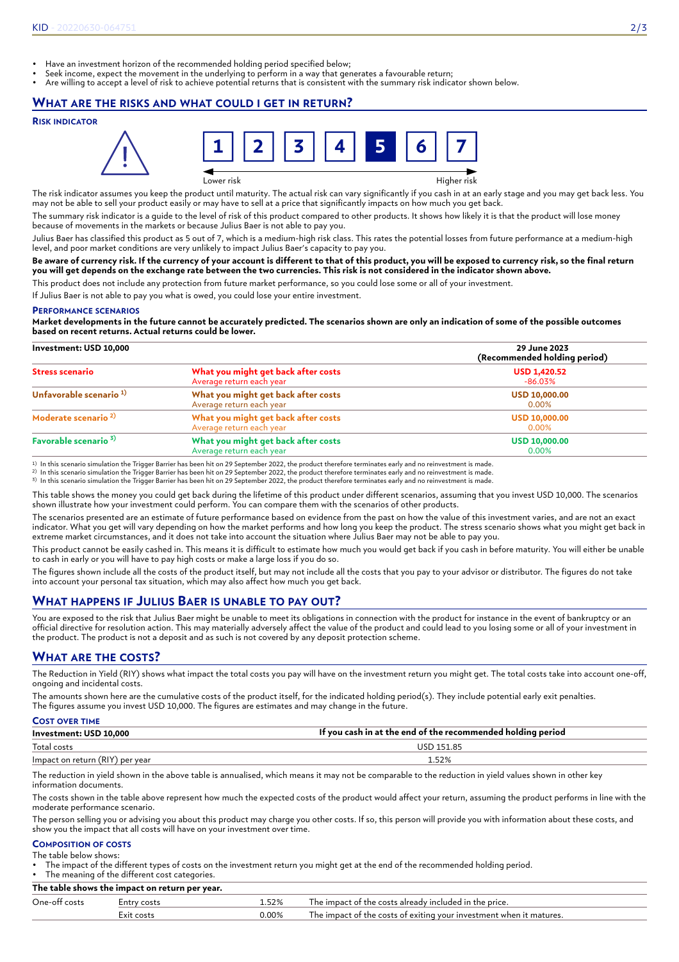- Have an investment horizon of the recommended holding period specified below;
- Seek income, expect the movement in the underlying to perform in a way that generates a favourable return;
- Are willing to accept a level of risk to achieve potential returns that is consistent with the summary risk indicator shown below.

### **WHAT ARE THE RISKS AND WHAT COULD I GET IN RETURN?**

#### **RISK INDICATOR**



The risk indicator assumes you keep the product until maturity. The actual risk can vary significantly if you cash in at an early stage and you may get back less. You may not be able to sell your product easily or may have to sell at a price that significantly impacts on how much you get back.

The summary risk indicator is a guide to the level of risk of this product compared to other products. It shows how likely it is that the product will lose money because of movements in the markets or because Julius Baer is not able to pay you.

Julius Baer has classified this product as 5 out of 7, which is a medium-high risk class. This rates the potential losses from future performance at a medium-high level, and poor market conditions are very unlikely to impact Julius Baer's capacity to pay you.

#### **Be aware of currency risk. If the currency of your account is different to that of this product, you will be exposed to currency risk, so the final return you will get depends on the exchange rate between the two currencies. This risk is not considered in the indicator shown above.**

This product does not include any protection from future market performance, so you could lose some or all of your investment.

If Julius Baer is not able to pay you what is owed, you could lose your entire investment.

#### **PERFORMANCE SCENARIOS**

**Market developments in the future cannot be accurately predicted. The scenarios shown are only an indication of some of the possible outcomes based on recent returns. Actual returns could be lower.**

#### **Investment: USD 10,000 29 June 2023 (Recommended holding period) Stress scenario What you might get back after costs** Average return each year **USD 1,420.52** -86.03% **Unfavorable scenario 1) What you might get back after costs** Average return each year **USD 10,000.00** 0.00% **Moderate scenario 2) What you might get back after costs** Average return each year **USD 10,000.00** 0.00% **Favorable scenario 3) What you might get back after costs** Average return each year **USD 10,000.00** 0.00%

1) In this scenario simulation the Trigger Barrier has been hit on 29 September 2022, the product therefore terminates early and no reinvestment is made.<br><sup>2)</sup> In this scenario simulation the Trigger Barrier has been hit on

3) In this scenario simulation the Trigger Barrier has been hit on 29 September 2022, the product therefore terminates early and no reinvestment is made.

This table shows the money you could get back during the lifetime of this product under different scenarios, assuming that you invest USD 10,000. The scenarios shown illustrate how your investment could perform. You can compare them with the scenarios of other products.

The scenarios presented are an estimate of future performance based on evidence from the past on how the value of this investment varies, and are not an exact indicator. What you get will vary depending on how the market performs and how long you keep the product. The stress scenario shows what you might get back in extreme market circumstances, and it does not take into account the situation where Julius Baer may not be able to pay you.

This product cannot be easily cashed in. This means it is difficult to estimate how much you would get back if you cash in before maturity. You will either be unable to cash in early or you will have to pay high costs or make a large loss if you do so.

The figures shown include all the costs of the product itself, but may not include all the costs that you pay to your advisor or distributor. The figures do not take into account your personal tax situation, which may also affect how much you get back.

### **WHAT HAPPENS IF JULIUS BAER IS UNABLE TO PAY OUT?**

You are exposed to the risk that Julius Baer might be unable to meet its obligations in connection with the product for instance in the event of bankruptcy or an official directive for resolution action. This may materially adversely affect the value of the product and could lead to you losing some or all of your investment in the product. The product is not a deposit and as such is not covered by any deposit protection scheme.

### **WHAT ARE THE COSTS?**

The Reduction in Yield (RIY) shows what impact the total costs you pay will have on the investment return you might get. The total costs take into account one-off, ongoing and incidental costs.

The amounts shown here are the cumulative costs of the product itself, for the indicated holding period(s). They include potential early exit penalties. The figures assume you invest USD 10,000. The figures are estimates and may change in the future.

| <b>COST OVER TIME</b>           |                                                             |
|---------------------------------|-------------------------------------------------------------|
| Investment: USD 10,000          | If you cash in at the end of the recommended holding period |
| Total costs                     | USD 151.85                                                  |
| Impact on return (RIY) per year | 1.52%                                                       |

The reduction in yield shown in the above table is annualised, which means it may not be comparable to the reduction in yield values shown in other key information documents.

The costs shown in the table above represent how much the expected costs of the product would affect your return, assuming the product performs in line with the moderate performance scenario.

The person selling you or advising you about this product may charge you other costs. If so, this person will provide you with information about these costs, and show you the impact that all costs will have on your investment over time.

#### **COMPOSITION OF COSTS** The table below shows:

• The impact of the different types of costs on the investment return you might get at the end of the recommended holding period.

The meaning of the different cost categories. **The table shows the impact on return per year.**

| The capie shows the impact on return per year. |            |          |                                                                     |  |  |  |
|------------------------------------------------|------------|----------|---------------------------------------------------------------------|--|--|--|
| One-off costs<br>52%<br>Entrv costs            |            |          | The impact of the costs already included in the price.              |  |  |  |
|                                                | Exit costs | $0.00\%$ | The impact of the costs of exiting your investment when it matures. |  |  |  |